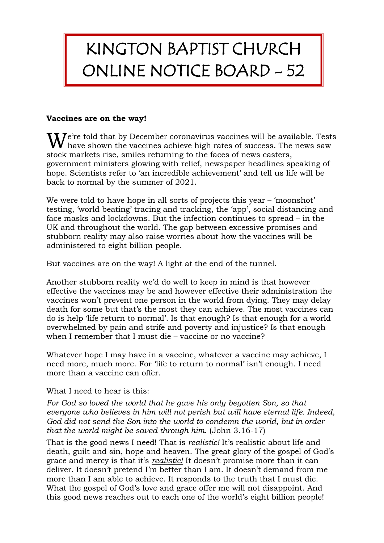## KINGTON BAPTIST CHURCH ONLINE NOTICE BOARD - 52

## **Vaccines are on the way!**

 $\mathbf{W}$  e're told that by December coronavirus vaccines will be available. Tests have shown the vaccines achieve high rates of success. The news saw  $\bf{V}$  have shown the vaccines achieve high rates of success. The news saw stock markets rise, smiles returning to the faces of news casters, government ministers glowing with relief, newspaper headlines speaking of hope. Scientists refer to 'an incredible achievement' and tell us life will be back to normal by the summer of 2021.

We were told to have hope in all sorts of projects this year – 'moonshot' testing, 'world beating' tracing and tracking, the 'app', social distancing and face masks and lockdowns. But the infection continues to spread – in the UK and throughout the world. The gap between excessive promises and stubborn reality may also raise worries about how the vaccines will be administered to eight billion people.

But vaccines are on the way! A light at the end of the tunnel.

Another stubborn reality we'd do well to keep in mind is that however effective the vaccines may be and however effective their administration the vaccines won't prevent one person in the world from dying. They may delay death for some but that's the most they can achieve. The most vaccines can do is help 'life return to normal'. Is that enough? Is that enough for a world overwhelmed by pain and strife and poverty and injustice? Is that enough when I remember that I must die – vaccine or no vaccine?

Whatever hope I may have in a vaccine, whatever a vaccine may achieve, I need more, much more. For 'life to return to normal' isn't enough. I need more than a vaccine can offer.

What I need to hear is this:

*For God so loved the world that he gave his only begotten Son, so that everyone who believes in him will not perish but will have eternal life. Indeed, God did not send the Son into the world to condemn the world, but in order that the world might be saved through him.* (John 3.16-17)

That is the good news I need! That is *realistic!* It's realistic about life and death, guilt and sin, hope and heaven. The great glory of the gospel of God's grace and mercy is that it's *realistic!* It doesn't promise more than it can deliver. It doesn't pretend I'm better than I am. It doesn't demand from me more than I am able to achieve. It responds to the truth that I must die. What the gospel of God's love and grace offer me will not disappoint. And this good news reaches out to each one of the world's eight billion people!